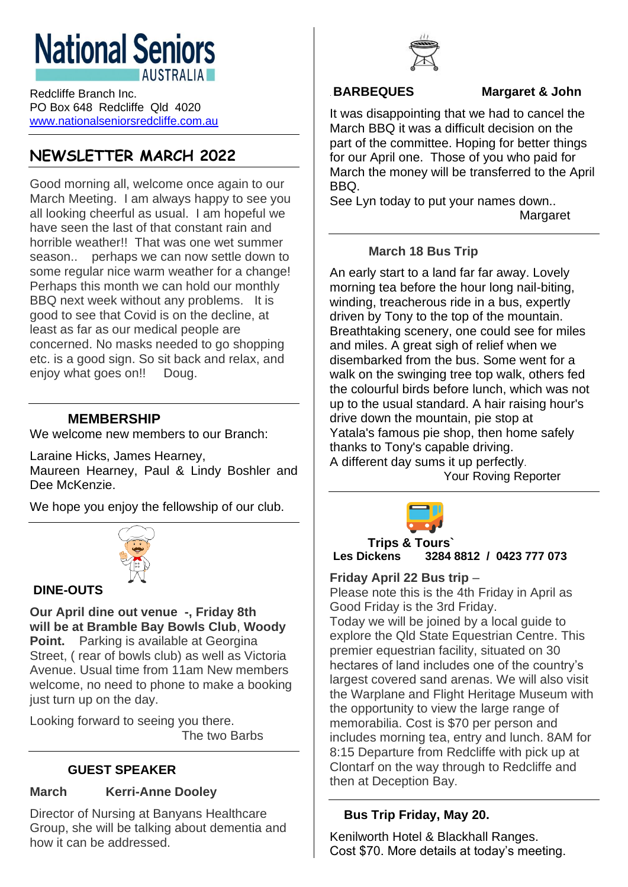# **National Seniors AUSTRALIA**

Redcliffe Branch Inc. PO Box 648 Redcliffe Qld 4020 [www.nationalseniorsredcliffe.com.au](http://www.nationalseniorsredcliffe.com.au/)

## **NEWSLETTER MARCH 2022**

Good morning all, welcome once again to our March Meeting. I am always happy to see you all looking cheerful as usual. I am hopeful we have seen the last of that constant rain and horrible weather!! That was one wet summer season.. perhaps we can now settle down to some regular nice warm weather for a change! Perhaps this month we can hold our monthly BBQ next week without any problems. It is good to see that Covid is on the decline, at least as far as our medical people are concerned. No masks needed to go shopping etc. is a good sign. So sit back and relax, and enjoy what goes on!! Doug.

#### **MEMBERSHIP**

We welcome new members to our Branch:

Laraine Hicks, James Hearney,

Maureen Hearney, Paul & Lindy Boshler and Dee McKenzie.

We hope you enjoy the fellowship of our club.



#### **DINE-OUTS**

**Our April dine out venue -, Friday 8th will be at Bramble Bay Bowls Club**, **Woody Point.** Parking is available at Georgina Street, ( rear of bowls club) as well as Victoria Avenue. Usual time from 11am New members welcome, no need to phone to make a booking just turn up on the day.

Looking forward to seeing you there. The two Barbs

#### **GUEST SPEAKER**

#### **March Kerri-Anne Dooley**

Director of Nursing at Banyans Healthcare Group, she will be talking about dementia and how it can be addressed.



#### .**BARBEQUES Margaret & John**

It was disappointing that we had to cancel the March BBQ it was a difficult decision on the part of the committee. Hoping for better things for our April one. Those of you who paid for March the money will be transferred to the April BBQ.

See Lyn today to put your names down.. **Margaret** 

#### **March 18 Bus Trip**

An early start to a land far far away. Lovely morning tea before the hour long nail-biting, winding, treacherous ride in a bus, expertly driven by Tony to the top of the mountain. Breathtaking scenery, one could see for miles and miles. A great sigh of relief when we disembarked from the bus. Some went for a walk on the swinging tree top walk, others fed the colourful birds before lunch, which was not up to the usual standard. A hair raising hour's drive down the mountain, pie stop at Yatala's famous pie shop, then home safely thanks to Tony's capable driving. A different day sums it up perfectly.

Your Roving Reporter



**Trips & Tours` Les Dickens 3284 8812 / 0423 777 073**

#### **Friday April 22 Bus trip** –

Please note this is the 4th Friday in April as Good Friday is the 3rd Friday.

Today we will be joined by a local guide to explore the Qld State Equestrian Centre. This premier equestrian facility, situated on 30 hectares of land includes one of the country's largest covered sand arenas. We will also visit the Warplane and Flight Heritage Museum with the opportunity to view the large range of memorabilia. Cost is \$70 per person and includes morning tea, entry and lunch. 8AM for 8:15 Departure from Redcliffe with pick up at Clontarf on the way through to Redcliffe and then at Deception Bay.

#### **Bus Trip Friday, May 20.**

Kenilworth Hotel & Blackhall Ranges. Cost \$70. More details at today's meeting.